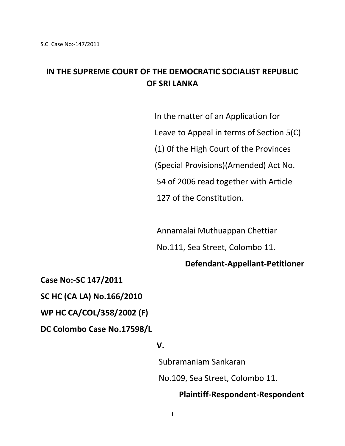# **IN THE SUPREME COURT OF THE DEMOCRATIC SOCIALIST REPUBLIC OF SRI LANKA**

 In the matter of an Application for Leave to Appeal in terms of Section 5(C) (1) 0f the High Court of the Provinces (Special Provisions)(Amended) Act No. 54 of 2006 read together with Article 127 of the Constitution.

Annamalai Muthuappan Chettiar

No.111, Sea Street, Colombo 11.

#### **Defendant-Appellant-Petitioner**

**Case No:-SC 147/2011**

**SC HC (CA LA) No.166/2010**

**WP HC CA/COL/358/2002 (F)**

**DC Colombo Case No.17598/L**

#### *V.* **V.** *V.*

 Subramaniam Sankaran No.109, Sea Street, Colombo 11.

#### **Plaintiff-Respondent-Respondent**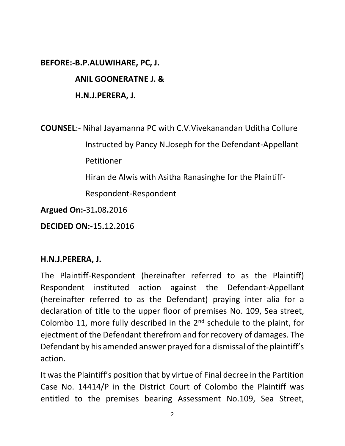## **BEFORE:-B.P.ALUWIHARE, PC, J.**

## **ANIL GOONERATNE J. &**

# **H.N.J.PERERA, J.**

**COUNSEL**:- Nihal Jayamanna PC with C.V.Vivekanandan Uditha Collure Instructed by Pancy N.Joseph for the Defendant-Appellant Petitioner Hiran de Alwis with Asitha Ranasinghe for the Plaintiff-

Respondent-Respondent

**Argued On:-**31**.**08**.**2016

**DECIDED ON:-**15**.**12**.**2016

## **H.N.J.PERERA, J.**

The Plaintiff-Respondent (hereinafter referred to as the Plaintiff) Respondent instituted action against the Defendant-Appellant (hereinafter referred to as the Defendant) praying inter alia for a declaration of title to the upper floor of premises No. 109, Sea street, Colombo 11, more fully described in the 2<sup>nd</sup> schedule to the plaint, for ejectment of the Defendant therefrom and for recovery of damages. The Defendant by his amended answer prayed for a dismissal of the plaintiff's action.

It was the Plaintiff's position that by virtue of Final decree in the Partition Case No. 14414/P in the District Court of Colombo the Plaintiff was entitled to the premises bearing Assessment No.109, Sea Street,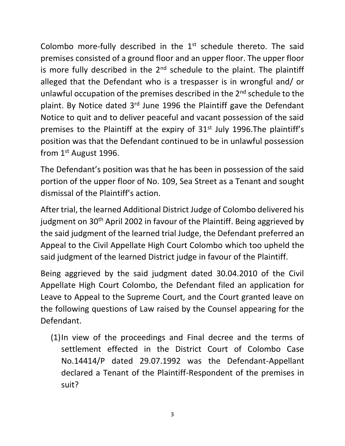Colombo more-fully described in the 1<sup>st</sup> schedule thereto. The said premises consisted of a ground floor and an upper floor. The upper floor is more fully described in the  $2<sup>nd</sup>$  schedule to the plaint. The plaintiff alleged that the Defendant who is a trespasser is in wrongful and/ or unlawful occupation of the premises described in the 2<sup>nd</sup> schedule to the plaint. By Notice dated 3rd June 1996 the Plaintiff gave the Defendant Notice to quit and to deliver peaceful and vacant possession of the said premises to the Plaintiff at the expiry of 31<sup>st</sup> July 1996. The plaintiff's position was that the Defendant continued to be in unlawful possession from 1st August 1996.

The Defendant's position was that he has been in possession of the said portion of the upper floor of No. 109, Sea Street as a Tenant and sought dismissal of the Plaintiff's action.

After trial, the learned Additional District Judge of Colombo delivered his judgment on 30<sup>th</sup> April 2002 in favour of the Plaintiff. Being aggrieved by the said judgment of the learned trial Judge, the Defendant preferred an Appeal to the Civil Appellate High Court Colombo which too upheld the said judgment of the learned District judge in favour of the Plaintiff.

Being aggrieved by the said judgment dated 30.04.2010 of the Civil Appellate High Court Colombo, the Defendant filed an application for Leave to Appeal to the Supreme Court, and the Court granted leave on the following questions of Law raised by the Counsel appearing for the Defendant.

(1)In view of the proceedings and Final decree and the terms of settlement effected in the District Court of Colombo Case No.14414/P dated 29.07.1992 was the Defendant-Appellant declared a Tenant of the Plaintiff-Respondent of the premises in suit?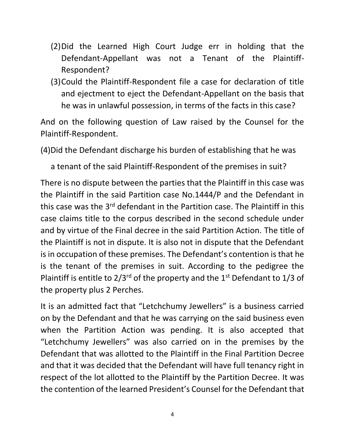- (2)Did the Learned High Court Judge err in holding that the Defendant-Appellant was not a Tenant of the Plaintiff-Respondent?
- (3)Could the Plaintiff-Respondent file a case for declaration of title and ejectment to eject the Defendant-Appellant on the basis that he was in unlawful possession, in terms of the facts in this case?

And on the following question of Law raised by the Counsel for the Plaintiff-Respondent.

(4)Did the Defendant discharge his burden of establishing that he was

a tenant of the said Plaintiff-Respondent of the premises in suit?

There is no dispute between the parties that the Plaintiff in this case was the Plaintiff in the said Partition case No.1444/P and the Defendant in this case was the 3<sup>rd</sup> defendant in the Partition case. The Plaintiff in this case claims title to the corpus described in the second schedule under and by virtue of the Final decree in the said Partition Action. The title of the Plaintiff is not in dispute. It is also not in dispute that the Defendant is in occupation of these premises. The Defendant's contention is that he is the tenant of the premises in suit. According to the pedigree the Plaintiff is entitle to  $2/3^{rd}$  of the property and the 1<sup>st</sup> Defendant to 1/3 of the property plus 2 Perches.

It is an admitted fact that "Letchchumy Jewellers" is a business carried on by the Defendant and that he was carrying on the said business even when the Partition Action was pending. It is also accepted that "Letchchumy Jewellers" was also carried on in the premises by the Defendant that was allotted to the Plaintiff in the Final Partition Decree and that it was decided that the Defendant will have full tenancy right in respect of the lot allotted to the Plaintiff by the Partition Decree. It was the contention of the learned President's Counsel for the Defendant that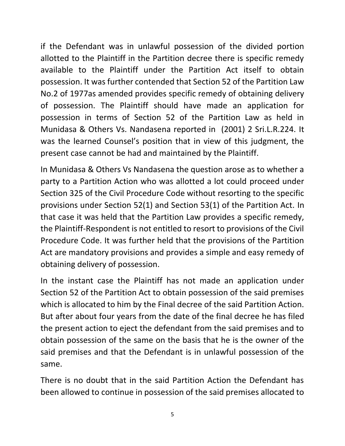if the Defendant was in unlawful possession of the divided portion allotted to the Plaintiff in the Partition decree there is specific remedy available to the Plaintiff under the Partition Act itself to obtain possession. It was further contended that Section 52 of the Partition Law No.2 of 1977as amended provides specific remedy of obtaining delivery of possession. The Plaintiff should have made an application for possession in terms of Section 52 of the Partition Law as held in Munidasa & Others Vs. Nandasena reported in (2001) 2 Sri.L.R.224. It was the learned Counsel's position that in view of this judgment, the present case cannot be had and maintained by the Plaintiff.

In Munidasa & Others Vs Nandasena the question arose as to whether a party to a Partition Action who was allotted a lot could proceed under Section 325 of the Civil Procedure Code without resorting to the specific provisions under Section 52(1) and Section 53(1) of the Partition Act. In that case it was held that the Partition Law provides a specific remedy, the Plaintiff-Respondent is not entitled to resort to provisions of the Civil Procedure Code. It was further held that the provisions of the Partition Act are mandatory provisions and provides a simple and easy remedy of obtaining delivery of possession.

In the instant case the Plaintiff has not made an application under Section 52 of the Partition Act to obtain possession of the said premises which is allocated to him by the Final decree of the said Partition Action. But after about four years from the date of the final decree he has filed the present action to eject the defendant from the said premises and to obtain possession of the same on the basis that he is the owner of the said premises and that the Defendant is in unlawful possession of the same.

There is no doubt that in the said Partition Action the Defendant has been allowed to continue in possession of the said premises allocated to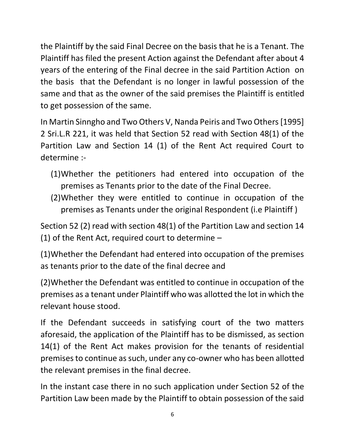the Plaintiff by the said Final Decree on the basis that he is a Tenant. The Plaintiff has filed the present Action against the Defendant after about 4 years of the entering of the Final decree in the said Partition Action on the basis that the Defendant is no longer in lawful possession of the same and that as the owner of the said premises the Plaintiff is entitled to get possession of the same.

In Martin Sinngho and Two Others V, Nanda Peiris and Two Others [1995] 2 Sri.L.R 221, it was held that Section 52 read with Section 48(1) of the Partition Law and Section 14 (1) of the Rent Act required Court to determine :-

- (1)Whether the petitioners had entered into occupation of the premises as Tenants prior to the date of the Final Decree.
- (2)Whether they were entitled to continue in occupation of the premises as Tenants under the original Respondent (i.e Plaintiff )

Section 52 (2) read with section 48(1) of the Partition Law and section 14 (1) of the Rent Act, required court to determine –

(1)Whether the Defendant had entered into occupation of the premises as tenants prior to the date of the final decree and

(2)Whether the Defendant was entitled to continue in occupation of the premises as a tenant under Plaintiff who was allotted the lot in which the relevant house stood.

If the Defendant succeeds in satisfying court of the two matters aforesaid, the application of the Plaintiff has to be dismissed, as section 14(1) of the Rent Act makes provision for the tenants of residential premises to continue as such, under any co-owner who has been allotted the relevant premises in the final decree.

In the instant case there in no such application under Section 52 of the Partition Law been made by the Plaintiff to obtain possession of the said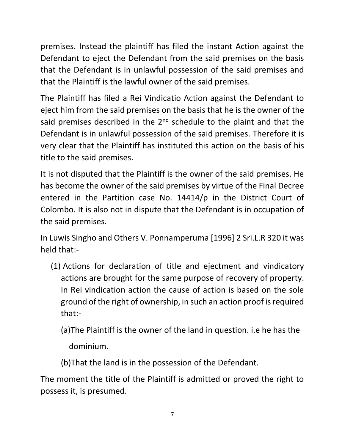premises. Instead the plaintiff has filed the instant Action against the Defendant to eject the Defendant from the said premises on the basis that the Defendant is in unlawful possession of the said premises and that the Plaintiff is the lawful owner of the said premises.

The Plaintiff has filed a Rei Vindicatio Action against the Defendant to eject him from the said premises on the basis that he is the owner of the said premises described in the 2<sup>nd</sup> schedule to the plaint and that the Defendant is in unlawful possession of the said premises. Therefore it is very clear that the Plaintiff has instituted this action on the basis of his title to the said premises.

It is not disputed that the Plaintiff is the owner of the said premises. He has become the owner of the said premises by virtue of the Final Decree entered in the Partition case No. 14414/p in the District Court of Colombo. It is also not in dispute that the Defendant is in occupation of the said premises.

In Luwis Singho and Others V. Ponnamperuma [1996] 2 Sri.L.R 320 it was held that:-

(1) Actions for declaration of title and ejectment and vindicatory actions are brought for the same purpose of recovery of property. In Rei vindication action the cause of action is based on the sole ground of the right of ownership, in such an action proof is required that:-

(a)The Plaintiff is the owner of the land in question. i.e he has the

dominium.

(b)That the land is in the possession of the Defendant.

The moment the title of the Plaintiff is admitted or proved the right to possess it, is presumed.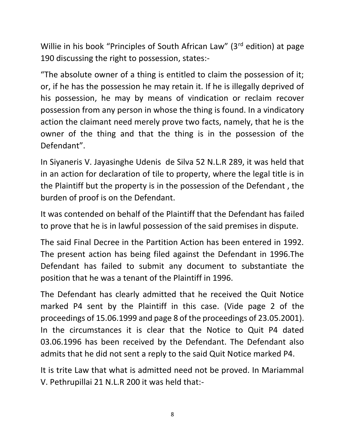Willie in his book "Principles of South African Law" (3<sup>rd</sup> edition) at page 190 discussing the right to possession, states:-

"The absolute owner of a thing is entitled to claim the possession of it; or, if he has the possession he may retain it. If he is illegally deprived of his possession, he may by means of vindication or reclaim recover possession from any person in whose the thing is found. In a vindicatory action the claimant need merely prove two facts, namely, that he is the owner of the thing and that the thing is in the possession of the Defendant".

In Siyaneris V. Jayasinghe Udenis de Silva 52 N.L.R 289, it was held that in an action for declaration of tile to property, where the legal title is in the Plaintiff but the property is in the possession of the Defendant , the burden of proof is on the Defendant.

It was contended on behalf of the Plaintiff that the Defendant has failed to prove that he is in lawful possession of the said premises in dispute.

The said Final Decree in the Partition Action has been entered in 1992. The present action has being filed against the Defendant in 1996.The Defendant has failed to submit any document to substantiate the position that he was a tenant of the Plaintiff in 1996.

The Defendant has clearly admitted that he received the Quit Notice marked P4 sent by the Plaintiff in this case. (Vide page 2 of the proceedings of 15.06.1999 and page 8 of the proceedings of 23.05.2001). In the circumstances it is clear that the Notice to Quit P4 dated 03.06.1996 has been received by the Defendant. The Defendant also admits that he did not sent a reply to the said Quit Notice marked P4.

It is trite Law that what is admitted need not be proved. In Mariammal V. Pethrupillai 21 N.L.R 200 it was held that:-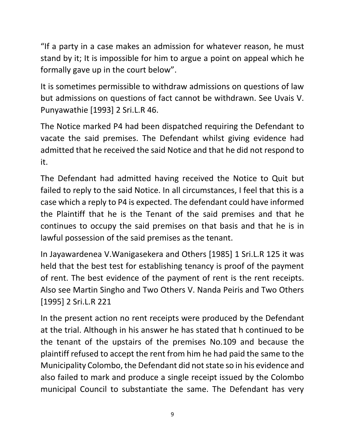"If a party in a case makes an admission for whatever reason, he must stand by it; It is impossible for him to argue a point on appeal which he formally gave up in the court below".

It is sometimes permissible to withdraw admissions on questions of law but admissions on questions of fact cannot be withdrawn. See Uvais V. Punyawathie [1993] 2 Sri.L.R 46.

The Notice marked P4 had been dispatched requiring the Defendant to vacate the said premises. The Defendant whilst giving evidence had admitted that he received the said Notice and that he did not respond to it.

The Defendant had admitted having received the Notice to Quit but failed to reply to the said Notice. In all circumstances, I feel that this is a case which a reply to P4 is expected. The defendant could have informed the Plaintiff that he is the Tenant of the said premises and that he continues to occupy the said premises on that basis and that he is in lawful possession of the said premises as the tenant.

In Jayawardenea V.Wanigasekera and Others [1985] 1 Sri.L.R 125 it was held that the best test for establishing tenancy is proof of the payment of rent. The best evidence of the payment of rent is the rent receipts. Also see Martin Singho and Two Others V. Nanda Peiris and Two Others [1995] 2 Sri.L.R 221

In the present action no rent receipts were produced by the Defendant at the trial. Although in his answer he has stated that h continued to be the tenant of the upstairs of the premises No.109 and because the plaintiff refused to accept the rent from him he had paid the same to the Municipality Colombo, the Defendant did not state so in his evidence and also failed to mark and produce a single receipt issued by the Colombo municipal Council to substantiate the same. The Defendant has very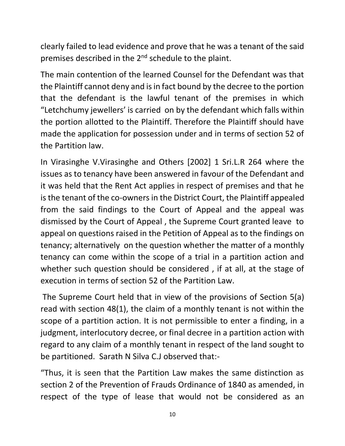clearly failed to lead evidence and prove that he was a tenant of the said premises described in the 2<sup>nd</sup> schedule to the plaint.

The main contention of the learned Counsel for the Defendant was that the Plaintiff cannot deny and is in fact bound by the decree to the portion that the defendant is the lawful tenant of the premises in which "Letchchumy jewellers' is carried on by the defendant which falls within the portion allotted to the Plaintiff. Therefore the Plaintiff should have made the application for possession under and in terms of section 52 of the Partition law.

In Virasinghe V.Virasinghe and Others [2002] 1 Sri.L.R 264 where the issues as to tenancy have been answered in favour of the Defendant and it was held that the Rent Act applies in respect of premises and that he is the tenant of the co-owners in the District Court, the Plaintiff appealed from the said findings to the Court of Appeal and the appeal was dismissed by the Court of Appeal , the Supreme Court granted leave to appeal on questions raised in the Petition of Appeal as to the findings on tenancy; alternatively on the question whether the matter of a monthly tenancy can come within the scope of a trial in a partition action and whether such question should be considered , if at all, at the stage of execution in terms of section 52 of the Partition Law.

The Supreme Court held that in view of the provisions of Section 5(a) read with section 48(1), the claim of a monthly tenant is not within the scope of a partition action. It is not permissible to enter a finding, in a judgment, interlocutory decree, or final decree in a partition action with regard to any claim of a monthly tenant in respect of the land sought to be partitioned. Sarath N Silva C.J observed that:-

"Thus, it is seen that the Partition Law makes the same distinction as section 2 of the Prevention of Frauds Ordinance of 1840 as amended, in respect of the type of lease that would not be considered as an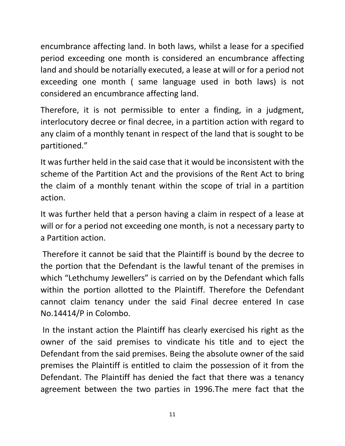encumbrance affecting land. In both laws, whilst a lease for a specified period exceeding one month is considered an encumbrance affecting land and should be notarially executed, a lease at will or for a period not exceeding one month ( same language used in both laws) is not considered an encumbrance affecting land.

Therefore, it is not permissible to enter a finding, in a judgment, interlocutory decree or final decree, in a partition action with regard to any claim of a monthly tenant in respect of the land that is sought to be partitioned."

It was further held in the said case that it would be inconsistent with the scheme of the Partition Act and the provisions of the Rent Act to bring the claim of a monthly tenant within the scope of trial in a partition action.

It was further held that a person having a claim in respect of a lease at will or for a period not exceeding one month, is not a necessary party to a Partition action.

Therefore it cannot be said that the Plaintiff is bound by the decree to the portion that the Defendant is the lawful tenant of the premises in which "Lethchumy Jewellers" is carried on by the Defendant which falls within the portion allotted to the Plaintiff. Therefore the Defendant cannot claim tenancy under the said Final decree entered In case No.14414/P in Colombo.

In the instant action the Plaintiff has clearly exercised his right as the owner of the said premises to vindicate his title and to eject the Defendant from the said premises. Being the absolute owner of the said premises the Plaintiff is entitled to claim the possession of it from the Defendant. The Plaintiff has denied the fact that there was a tenancy agreement between the two parties in 1996.The mere fact that the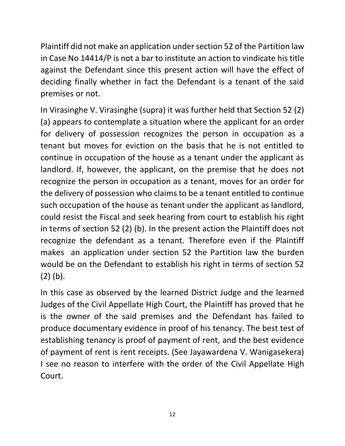Plaintiff did not make an application under section 52 of the Partition law in Case No 14414/P is not a bar to institute an action to vindicate his title against the Defendant since this present action will have the effect of deciding finally whether in fact the Defendant is a tenant of the said premises or not.

In Virasinghe V. Virasinghe (supra) it was further held that Section 52 (2) (a) appears to contemplate a situation where the applicant for an order for delivery of possession recognizes the person in occupation as a tenant but moves for eviction on the basis that he is not entitled to continue in occupation of the house as a tenant under the applicant as landlord. If, however, the applicant, on the premise that he does not recognize the person in occupation as a tenant, moves for an order for the delivery of possession who claims to be a tenant entitled to continue such occupation of the house as tenant under the applicant as landlord, could resist the Fiscal and seek hearing from court to establish his right in terms of section 52 (2) (b). In the present action the Plaintiff does not recognize the defendant as a tenant. Therefore even if the Plaintiff makes an application under section 52 the Partition law the burden would be on the Defendant to establish his right in terms of section 52 (2) (b).

In this case as observed by the learned District Judge and the learned Judges of the Civil Appellate High Court, the Plaintiff has proved that he is the owner of the said premises and the Defendant has failed to produce documentary evidence in proof of his tenancy. The best test of establishing tenancy is proof of payment of rent, and the best evidence of payment of rent is rent receipts. (See Jayawardena V. Wanigasekera) I see no reason to interfere with the order of the Civil Appellate High Court.